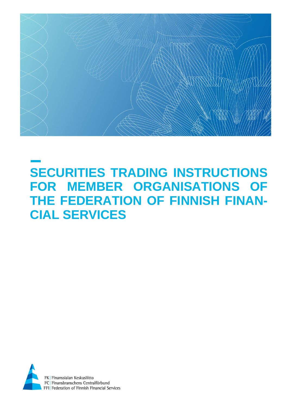

# **SECURITIES TRADING INSTRUCTIONS FOR MEMBER ORGANISATIONS OF THE FEDERATION OF FINNISH FINAN-CIAL SERVICES**

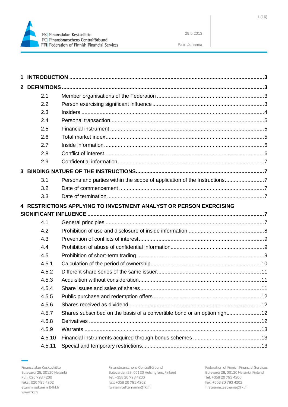

Palin Johanna

| $\mathbf{2}$ |        |                                                                            |  |
|--------------|--------|----------------------------------------------------------------------------|--|
|              | 2.1    |                                                                            |  |
|              | 2.2    |                                                                            |  |
|              | 2.3    |                                                                            |  |
|              | 2.4    |                                                                            |  |
|              | 2.5    |                                                                            |  |
|              | 2.6    |                                                                            |  |
|              | 2.7    |                                                                            |  |
|              | 2.8    |                                                                            |  |
|              | 2.9    |                                                                            |  |
| 3            |        |                                                                            |  |
|              | 3.1    | Persons and parties within the scope of application of the Instructions7   |  |
|              | 3.2    |                                                                            |  |
|              | 3.3    |                                                                            |  |
|              |        | 4 RESTRICTIONS APPLYING TO INVESTMENT ANALYST OR PERSON EXERCISING         |  |
|              |        |                                                                            |  |
|              | 4.1    |                                                                            |  |
|              | 4.2    |                                                                            |  |
|              | 4.3    |                                                                            |  |
|              | 4.4    |                                                                            |  |
|              | 4.5    |                                                                            |  |
|              | 4.5.1  |                                                                            |  |
|              | 4.5.2  |                                                                            |  |
|              | 4.5.3  |                                                                            |  |
|              | 4.5.4  |                                                                            |  |
|              | 4.5.5  |                                                                            |  |
|              | 4.5.6  |                                                                            |  |
|              | 4.5.7  | Shares subscribed on the basis of a convertible bond or an option right 12 |  |
|              | 4.5.8  |                                                                            |  |
|              | 4.5.9  |                                                                            |  |
|              | 4.5.10 |                                                                            |  |
|              | 4.5.11 |                                                                            |  |
|              |        |                                                                            |  |

Finansbranschens Centralförbund Bulevarden 28, 00120 Helsingfors, Finland Tel: +358 20 793 4200 Fax: +358 20 793 4202 fornamn.efternamn@fkl.fi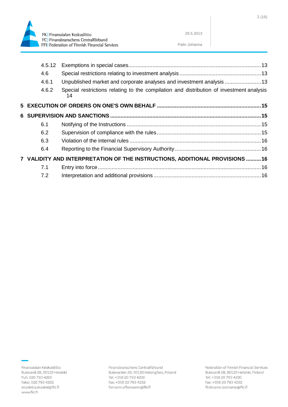

fornamn.efternamn@fkl.fi

|  | 4.5.12 |                                                                                                |  |
|--|--------|------------------------------------------------------------------------------------------------|--|
|  | 4.6    |                                                                                                |  |
|  | 4.6.1  | Unpublished market and corporate analyses and investment analysis 13                           |  |
|  | 4.6.2  | Special restrictions relating to the compilation and distribution of investment analysis<br>14 |  |
|  |        |                                                                                                |  |
|  |        |                                                                                                |  |
|  | 6.1    |                                                                                                |  |
|  | 6.2    |                                                                                                |  |
|  | 6.3    |                                                                                                |  |
|  | 6.4    |                                                                                                |  |
|  |        | 7 VALIDITY AND INTERPRETATION OF THE INSTRUCTIONS, ADDITIONAL PROVISIONS 16                    |  |
|  | 7.1    |                                                                                                |  |
|  | 7.2    |                                                                                                |  |

Palin Johanna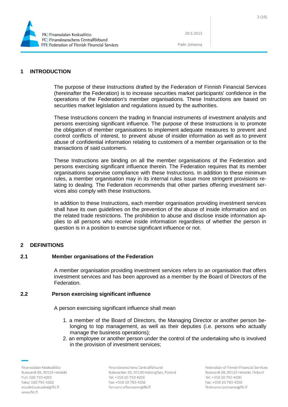

Palin Johanna

# <span id="page-3-0"></span>**1 INTRODUCTION**

The purpose of these Instructions drafted by the Federation of Finnish Financial Services (hereinafter the Federation) is to increase securities market participants' confidence in the operations of the Federation's member organisations. These Instructions are based on securities market legislation and regulations issued by the authorities.

These Instructions concern the trading in financial instruments of investment analysts and persons exercising significant influence. The purpose of these Instructions is to promote the obligation of member organisations to implement adequate measures to prevent and control conflicts of interest, to prevent abuse of insider information as well as to prevent abuse of confidential information relating to customers of a member organisation or to the transactions of said customers.

These Instructions are binding on all the member organisations of the Federation and persons exercising significant influence therein. The Federation requires that its member organisations supervise compliance with these Instructions. In addition to these minimum rules, a member organisation may in its internal rules issue more stringent provisions relating to dealing. The Federation recommends that other parties offering investment services also comply with these Instructions.

In addition to these Instructions, each member organisation providing investment services shall have its own guidelines on the prevention of the abuse of inside information and on the related trade restrictions. The prohibition to abuse and disclose inside information applies to all persons who receive inside information regardless of whether the person in question is in a position to exercise significant influence or not.

# <span id="page-3-1"></span>**2 DEFINITIONS**

## <span id="page-3-2"></span>**2.1 Member organisations of the Federation**

A member organisation providing investment services refers to an organisation that offers investment services and has been approved as a member by the Board of Directors of the Federation.

#### <span id="page-3-3"></span>**2.2 Person exercising significant influence**

A person exercising significant influence shall mean

- 1. a member of the Board of Directors, the Managing Director or another person belonging to top management, as well as their deputies (i.e. persons who actually manage the business operations);
- 2. an employee or another person under the control of the undertaking who is involved in the provision of investment services;

Finanssialan Keskusliitto Bulevardi 28, 00120 Helsinki Puh: 020 793 4200 Faksi: 020 793 4202 etunimi.sukunimi@fkl.fi www.fkl.fi

Finansbranschens Centralförbund Bulevarden 28, 00120 Helsingfors, Finland Tel: +358 20 793 4200 Fax: +358 20 793 4202 fornamn.efternamn@fkl.fi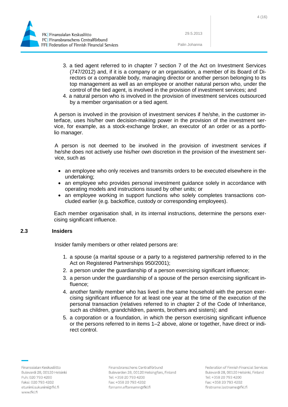

Palin Johanna

- 3. a tied agent referred to in chapter 7 section 7 of the Act on Investment Services (747/2012) and, if it is a company or an organisation, a member of its Board of Directors or a comparable body, managing director or another person belonging to its top management as well as an employee or another natural person who, under the control of the tied agent, is involved in the provision of investment services; and
- 4. a natural person who is involved in the provision of investment services outsourced by a member organisation or a tied agent.

A person is involved in the provision of investment services if he/she, in the customer interface, uses his/her own decision-making power in the provision of the investment service, for example, as a stock-exchange broker, an executor of an order or as a portfolio manager.

A person is not deemed to be involved in the provision of investment services if he/she does not actively use his/her own discretion in the provision of the investment service, such as

- an employee who only receives and transmits orders to be executed elsewhere in the undertaking;
- an employee who provides personal investment guidance solely in accordance with operating models and instructions issued by other units; or
- an employee working in support functions who solely completes transactions concluded earlier (e.g. backoffice, custody or corresponding employees).

Each member organisation shall, in its internal instructions, determine the persons exercising significant influence.

# <span id="page-4-0"></span>**2.3 Insiders**

Insider family members or other related persons are:

- 1. a spouse (a marital spouse or a party to a registered partnership referred to in the Act on Registered Partnerships 950/2001);
- 2. a person under the guardianship of a person exercising significant influence;
- 3. a person under the guardianship of a spouse of the person exercising significant influence;
- 4. another family member who has lived in the same household with the person exercising significant influence for at least one year at the time of the execution of the personal transaction (relatives referred to in chapter 2 of the Code of Inheritance, such as children, grandchildren, parents, brothers and sisters); and
- 5. a corporation or a foundation, in which the person exercising significant influence or the persons referred to in items 1–2 above, alone or together, have direct or indirect control.

Finansbranschens Centralförbund Bulevarden 28, 00120 Helsingfors, Finland Tel: +358 20 793 4200 Fax: +358 20 793 4202 fornamn.efternamn@fkl.fi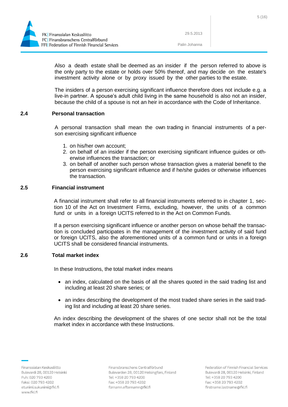

Palin Johanna

Also a death estate shall be deemed as an insider if the person referred to above is the only party to the estate or holds over 50% thereof, and may decide on the estate's investment activity alone or by proxy issued by the other parties to the estate.

The insiders of a person exercising significant influence therefore does not include e.g. a live-in partner. A spouse's adult child living in the same household is also not an insider, because the child of a spouse is not an heir in accordance with the Code of Inheritance.

## <span id="page-5-0"></span>**2.4 Personal transaction**

A personal transaction shall mean the own trading in financial instruments of a person exercising significant influence

- 1. on his/her own account;
- 2. on behalf of an insider if the person exercising significant influence guides or otherwise influences the transaction; or
- 3. on behalf of another such person whose transaction gives a material benefit to the person exercising significant influence and if he/she guides or otherwise influences the transaction.

# <span id="page-5-1"></span>**2.5 Financial instrument**

A financial instrument shall refer to all financial instruments referred to in chapter 1, section 10 of the Act on Investment Firms, excluding, however, the units of a common fund or units in a foreign UCITS referred to in the Act on Common Funds.

If a person exercising significant influence or another person on whose behalf the transaction is concluded participates in the management of the investment activity of said fund or foreign UCITS, also the aforementioned units of a common fund or units in a foreign UCITS shall be considered financial instruments.

#### <span id="page-5-2"></span>**2.6 Total market index**

In these Instructions, the total market index means

- an index, calculated on the basis of all the shares quoted in the said trading list and including at least 20 share series; or
- an index describing the development of the most traded share series in the said trading list and including at least 20 share series.

An index describing the development of the shares of one sector shall not be the total market index in accordance with these Instructions.

Finanssialan Keskusliitto Bulevardi 28, 00120 Helsinki Puh: 020 793 4200 Faksi: 020 793 4202 etunimi.sukunimi@fkl.fi www.fkl.fi

Finansbranschens Centralförbund Bulevarden 28, 00120 Helsingfors, Finland Tel: +358 20 793 4200 Fax: +358 20 793 4202 fornamn.efternamn@fkl.fi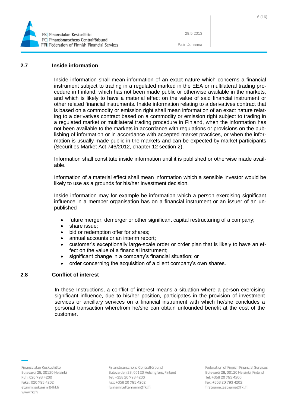

Palin Johanna

#### <span id="page-6-0"></span>**2.7 Inside information**

Inside information shall mean information of an exact nature which concerns a financial instrument subject to trading in a regulated marked in the EEA or multilateral trading procedure in Finland, which has not been made public or otherwise available in the markets, and which is likely to have a material effect on the value of said financial instrument or other related financial instruments. Inside information relating to a derivatives contract that is based on a commodity or emission right shall mean information of an exact nature relating to a derivatives contract based on a commodity or emission right subject to trading in a regulated market or multilateral trading procedure in Finland, when the information has not been available to the markets in accordance with regulations or provisions on the publishing of information or in accordance with accepted market practices, or when the information is usually made public in the markets and can be expected by market participants (Securities Market Act 746/2012, chapter 12 section 2).

Information shall constitute inside information until it is published or otherwise made available.

Information of a material effect shall mean information which a sensible investor would be likely to use as a grounds for his/her investment decision.

Inside information may for example be information which a person exercising significant influence in a member organisation has on a financial instrument or an issuer of an unpublished

- future merger, demerger or other significant capital restructuring of a company;
- share issue:
- bid or redemption offer for shares;
- annual accounts or an interim report;
- customer's exceptionally large-scale order or order plan that is likely to have an effect on the value of a financial instrument;
- significant change in a company's financial situation; or
- order concerning the acquisition of a client company's own shares.

# <span id="page-6-1"></span>**2.8 Conflict of interest**

In these Instructions, a conflict of interest means a situation where a person exercising significant influence, due to his/her position, participates in the provision of investment services or ancillary services on a financial instrument with which he/she concludes a personal transaction wherefrom he/she can obtain unfounded benefit at the cost of the customer.

Finansbranschens Centralförbund Bulevarden 28, 00120 Helsingfors, Finland Tel: +358 20 793 4200 Fax: +358 20 793 4202 fornamn.efternamn@fkl.fi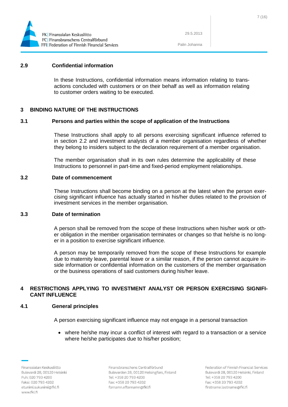

Palin Johanna

#### <span id="page-7-0"></span>**2.9 Confidential information**

In these Instructions, confidential information means information relating to transactions concluded with customers or on their behalf as well as information relating to customer orders waiting to be executed.

## <span id="page-7-1"></span>**3 BINDING NATURE OF THE INSTRUCTIONS**

#### <span id="page-7-2"></span>**3.1 Persons and parties within the scope of application of the Instructions**

These Instructions shall apply to all persons exercising significant influence referred to in section 2.2 and investment analysts of a member organisation regardless of whether they belong to insiders subject to the declaration requirement of a member organisation.

The member organisation shall in its own rules determine the applicability of these Instructions to personnel in part-time and fixed-period employment relationships.

#### <span id="page-7-3"></span>**3.2 Date of commencement**

These Instructions shall become binding on a person at the latest when the person exercising significant influence has actually started in his/her duties related to the provision of investment services in the member organisation.

#### <span id="page-7-4"></span>**3.3 Date of termination**

A person shall be removed from the scope of these Instructions when his/her work or other obligation in the member organisation terminates or changes so that he/she is no longer in a position to exercise significant influence.

A person may be temporarily removed from the scope of these Instructions for example due to maternity leave, parental leave or a similar reason, if the person cannot acquire inside information or confidential information on the customers of the member organisation or the business operations of said customers during his/her leave.

## <span id="page-7-5"></span>**4 RESTRICTIONS APPLYING TO INVESTMENT ANALYST OR PERSON EXERCISING SIGNIFI-CANT INFLUENCE**

#### <span id="page-7-6"></span>**4.1 General principles**

A person exercising significant influence may not engage in a personal transaction

 where he/she may incur a conflict of interest with regard to a transaction or a service where he/she participates due to his/her position;

Finanssialan Keskusliitto Bulevardi 28, 00120 Helsinki Puh: 020 793 4200 Faksi: 020 793 4202 etunimi.sukunimi@fkl.fi www.fkl.fi

Finansbranschens Centralförbund Bulevarden 28, 00120 Helsingfors, Finland Tel: +358 20 793 4200 Fax: +358 20 793 4202 fornamn.efternamn@fkl.fi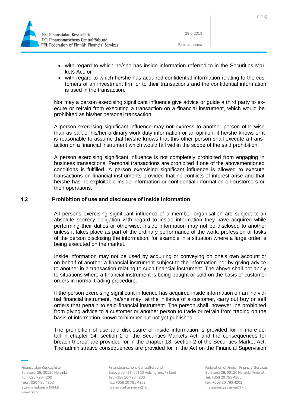

Palin Johanna

- with regard to which he/she has inside information referred to in the Securities Markets Act; or
- with regard to which he/she has acquired confidential information relating to the customers of an investment firm or to their transactions and the confidential information is used in the transaction.

Nor may a person exercising significant influence give advice or guide a third party to execute or refrain from executing a transaction on a financial instrument, which would be prohibited as his/her personal transaction.

A person exercising significant influence may not express to another person otherwise than as part of his/her ordinary work duty information or an opinion, if he/she knows or it is reasonable to assume that he/she knows that this other person shall execute a transaction on a financial instrument which would fall within the scope of the said prohibition.

A person exercising significant influence is not completely prohibited from engaging in business transactions. Personal transactions are prohibited if one of the abovementioned conditions is fulfilled. A person exercising significant influence is allowed to execute transactions on financial instruments provided that no conflicts of interest arise and that he/she has no exploitable inside information or confidential information on customers or their operations.

#### <span id="page-8-0"></span>**4.2 Prohibition of use and disclosure of inside information**

All persons exercising significant influence of a member organisation are subject to an absolute secrecy obligation with regard to inside information they have acquired while performing their duties or otherwise. Inside information may not be disclosed to another unless it takes place as part of the ordinary performance of the work, profession or tasks of the person disclosing the information, for example in a situation where a large order is being executed on the market.

Inside information may not be used by acquiring or conveying on one's own account or on behalf of another a financial instrument subject to the information nor by giving advice to another in a transaction relating to such financial instrument. The above shall not apply to situations where a financial instrument is being bought or sold on the basis of customer orders in normal trading procedure.

If the person exercising significant influence has acquired inside information on an individual financial instrument, he/she may, at the initiative of a customer, carry out buy or sell orders that pertain to said financial instrument. The person shall, however, be prohibited from giving advice to a customer or another person to trade or refrain from trading on the basis of information known to him/her but not yet published.

The prohibition of use and disclosure of inside information is provided for in more detail in chapter 14, section 2 of the Securities Markets Act, and the consequences for breach thereof are provided for in the chapter 18, section 2 of the Securities Market Act. The administrative consequences are provided for in the Act on the Financial Supervision

Finanssialan Keskusliitto Bulevardi 28, 00120 Helsinki Puh: 020 793 4200 Faksi: 020 793 4202 etunimi.sukunimi@fkl.fi www.fkl.fi

Finansbranschens Centralförbund Bulevarden 28, 00120 Helsingfors, Finland Tel: +358 20 793 4200 Fax: +358 20 793 4202 fornamn.efternamn@fkl.fi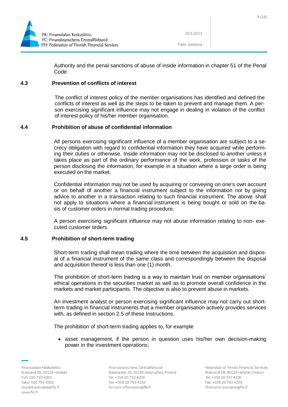

Authority and the penal sanctions of abuse of inside information in chapter 51 of the Penal Code.

## <span id="page-9-0"></span>**4.3 Prevention of conflicts of interest**

The conflict of interest policy of the member organisations has identified and defined the conflicts of interest as well as the steps to be taken to prevent and manage them. A person exercising significant influence may not engage in dealing in violation of the conflict of interest policy of his/her member organisation.

# <span id="page-9-1"></span>**4.4 Prohibition of abuse of confidential information**

All persons exercising significant influence of a member organisation are subject to a secrecy obligation with regard to confidential information they have acquired while performing their duties or otherwise. Inside information may not be disclosed to another unless it takes place as part of the ordinary performance of the work, profession or tasks of the person disclosing the information, for example in a situation where a large order is being executed on the market.

Confidential information may not be used by acquiring or conveying on one's own account or on behalf of another a financial instrument subject to the information nor by giving advice to another in a transaction relating to such financial instrument. The above shall not apply to situations where a financial instrument is being bought or sold on the basis of customer orders in normal trading procedure.

A person exercising significant influence may not abuse information relating to non- executed customer orders.

# <span id="page-9-2"></span>**4.5 Prohibition of short-term trading**

Short-term trading shall mean trading where the time between the acquisition and disposal of a financial instrument of the same class and correspondingly between the disposal and acquisition thereof is less than one (1) month.

The prohibition of short-term trading is a way to maintain trust on member organisations' ethical operations in the securities market as well as to promote overall confidence in the markets and market participants. The objective is also to prevent abuse in markets.

An investment analyst or person exercising significant influence may not carry out shortterm trading in financial instruments that a member organisation actively provides services with, as defined in section 2.5 of these Instructions.

The prohibition of short-term trading applies to, for example

• asset management, if the person in question uses his/her own decision-making power in the investment operations;

Finansbranschens Centralförbund Bulevarden 28, 00120 Helsingfors, Finland Tel: +358 20 793 4200 Fax: +358 20 793 4202 fornamn.efternamn@fkl.fi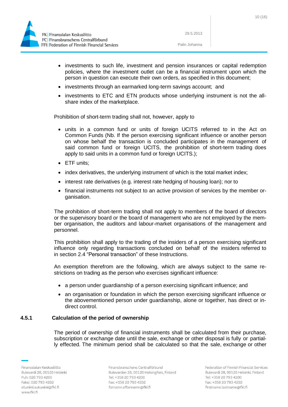

Palin Johanna

- investments to such life, investment and pension insurances or capital redemption policies, where the investment outlet can be a financial instrument upon which the person in question can execute their own orders, as specified in this document;
- investments through an earmarked long-term savings account; and
- investments to ETC and ETN products whose underlying instrument is not the allshare index of the marketplace.

Prohibition of short-term trading shall not, however, apply to

- units in a common fund or units of foreign UCITS referred to in the Act on Common Funds (Nb. If the person exercising significant influence or another person on whose behalf the transaction is concluded participates in the management of said common fund or foreign UCITS, the prohibition of short-term trading does apply to said units in a common fund or foreign UCITS.);
- ETF units:
- index derivatives, the underlying instrument of which is the total market index;
- interest rate derivatives (e.g. interest rate hedging of housing loan); nor to
- financial instruments not subject to an active provision of services by the member organisation.

The prohibition of short-term trading shall not apply to members of the board of directors or the supervisory board or the board of management who are not employed by the member organisation, the auditors and labour-market organisations of the management and personnel.

This prohibition shall apply to the trading of the insiders of a person exercising significant influence only regarding transactions concluded on behalf of the insiders referred to in section 2.4 "Personal transaction" of these Instructions.

An exemption therefrom are the following, which are always subject to the same restrictions on trading as the person who exercises significant influence:

- a person under guardianship of a person exercising significant influence; and
- an organisation or foundation in which the person exercising significant influence or the abovementioned person under guardianship, alone or together, has direct or indirect control.

## <span id="page-10-0"></span>**4.5.1 Calculation of the period of ownership**

The period of ownership of financial instruments shall be calculated from their purchase, subscription or exchange date until the sale, exchange or other disposal is fully or partially effected. The minimum period shall be calculated so that the sale, exchange or other

Finansbranschens Centralförbund Bulevarden 28, 00120 Helsingfors, Finland Tel: +358 20 793 4200 Fax: +358 20 793 4202 fornamn.efternamn@fkl.fi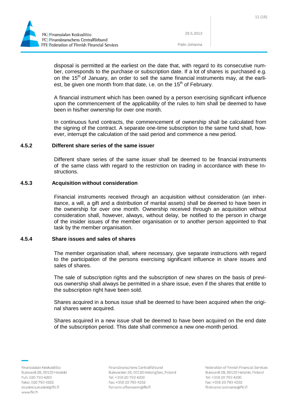

Palin Johanna

disposal is permitted at the earliest on the date that, with regard to its consecutive number, corresponds to the purchase or subscription date. If a lot of shares is purchased e.g. on the 15<sup>th</sup> of January, an order to sell the same financial instruments may, at the earliest, be given one month from that date, i.e. on the 15<sup>th</sup> of February.

A financial instrument which has been owned by a person exercising significant influence upon the commencement of the applicability of the rules to him shall be deemed to have been in his/her ownership for over one month.

In continuous fund contracts, the commencement of ownership shall be calculated from the signing of the contract. A separate one-time subscription to the same fund shall, however, interrupt the calculation of the said period and commence a new period.

## <span id="page-11-0"></span>**4.5.2 Different share series of the same issuer**

Different share series of the same issuer shall be deemed to be financial instruments of the same class with regard to the restriction on trading in accordance with these Instructions.

## <span id="page-11-1"></span>**4.5.3 Acquisition without consideration**

Financial instruments received through an acquisition without consideration (an inheritance, a will, a gift and a distribution of marital assets) shall be deemed to have been in the ownership for over one month. Ownership received through an acquisition without consideration shall, however, always, without delay, be notified to the person in charge of the insider issues of the member organisation or to another person appointed to that task by the member organisation.

#### <span id="page-11-2"></span>**4.5.4 Share issues and sales of shares**

The member organisation shall, where necessary, give separate instructions with regard to the participation of the persons exercising significant influence in share issues and sales of shares.

The sale of subscription rights and the subscription of new shares on the basis of previous ownership shall always be permitted in a share issue, even if the shares that entitle to the subscription right have been sold.

Shares acquired in a bonus issue shall be deemed to have been acquired when the original shares were acquired.

Shares acquired in a new issue shall be deemed to have been acquired on the end date of the subscription period. This date shall commence a new one-month period.

Finanssialan Keskusliitto Bulevardi 28, 00120 Helsinki Puh: 020 793 4200 Faksi: 020 793 4202 etunimi.sukunimi@fkl.fi www.fkl.fi

Finansbranschens Centralförbund Bulevarden 28, 00120 Helsingfors, Finland Tel: +358 20 793 4200 Fax: +358 20 793 4202 fornamn.efternamn@fkl.fi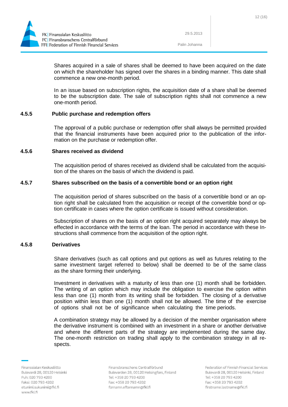



Palin Johanna

Shares acquired in a sale of shares shall be deemed to have been acquired on the date on which the shareholder has signed over the shares in a binding manner. This date shall commence a new one-month period.

In an issue based on subscription rights, the acquisition date of a share shall be deemed to be the subscription date. The sale of subscription rights shall not commence a new one-month period.

## <span id="page-12-0"></span>**4.5.5 Public purchase and redemption offers**

The approval of a public purchase or redemption offer shall always be permitted provided that the financial instruments have been acquired prior to the publication of the information on the purchase or redemption offer.

#### <span id="page-12-1"></span>**4.5.6 Shares received as dividend**

The acquisition period of shares received as dividend shall be calculated from the acquisition of the shares on the basis of which the dividend is paid.

## <span id="page-12-2"></span>**4.5.7 Shares subscribed on the basis of a convertible bond or an option right**

The acquisition period of shares subscribed on the basis of a convertible bond or an option right shall be calculated from the acquisition or receipt of the convertible bond or option certificate in cases where the option certificate is issued without consideration.

Subscription of shares on the basis of an option right acquired separately may always be effected in accordance with the terms of the loan. The period in accordance with these Instructions shall commence from the acquisition of the option right.

# <span id="page-12-3"></span>**4.5.8 Derivatives**

Share derivatives (such as call options and put options as well as futures relating to the same investment target referred to below) shall be deemed to be of the same class as the share forming their underlying.

Investment in derivatives with a maturity of less than one (1) month shall be forbidden. The writing of an option which may include the obligation to exercise the option within less than one (1) month from its writing shall be forbidden. The closing of a derivative position within less than one (1) month shall not be allowed. The time of the exercise of options shall not be of significance when calculating the time periods.

A combination strategy may be allowed by a decision of the member organisation where the derivative instrument is combined with an investment in a share or another derivative and where the different parts of the strategy are implemented during the same day. The one-month restriction on trading shall apply to the combination strategy in all respects.

Finansbranschens Centralförbund Bulevarden 28, 00120 Helsingfors, Finland Tel: +358 20 793 4200 Fax: +358 20 793 4202 fornamn.efternamn@fkl.fi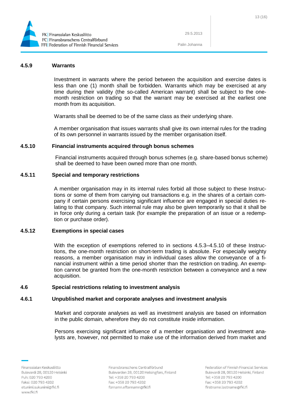

Palin Johanna

#### <span id="page-13-0"></span>**4.5.9 Warrants**

Investment in warrants where the period between the acquisition and exercise dates is less than one (1) month shall be forbidden. Warrants which may be exercised at any time during their validity (the so-called American warrant) shall be subject to the onemonth restriction on trading so that the warrant may be exercised at the earliest one month from its acquisition.

Warrants shall be deemed to be of the same class as their underlying share.

A member organisation that issues warrants shall give its own internal rules for the trading of its own personnel in warrants issued by the member organisation itself.

## <span id="page-13-1"></span>**4.5.10 Financial instruments acquired through bonus schemes**

Financial instruments acquired through bonus schemes (e.g. share-based bonus scheme) shall be deemed to have been owned more than one month.

#### <span id="page-13-2"></span>**4.5.11 Special and temporary restrictions**

A member organisation may in its internal rules forbid all those subject to these Instructions or some of them from carrying out transactions e.g. in the shares of a certain company if certain persons exercising significant influence are engaged in special duties relating to that company. Such internal rule may also be given temporarily so that it shall be in force only during a certain task (for example the preparation of an issue or a redemption or purchase order).

## <span id="page-13-3"></span>**4.5.12 Exemptions in special cases**

With the exception of exemptions referred to in sections 4.5.3–4.5.10 of these Instructions, the one-month restriction on short-term trading is absolute. For especially weighty reasons, a member organisation may in individual cases allow the conveyance of a financial instrument within a time period shorter than the restriction on trading. An exemption cannot be granted from the one-month restriction between a conveyance and a new acquisition.

#### <span id="page-13-4"></span>**4.6 Special restrictions relating to investment analysis**

## <span id="page-13-5"></span>**4.6.1 Unpublished market and corporate analyses and investment analysis**

Market and corporate analyses as well as investment analysis are based on information in the public domain, wherefore they do not constitute inside information.

Persons exercising significant influence of a member organisation and investment analysts are, however, not permitted to make use of the information derived from market and

Finansbranschens Centralförbund Bulevarden 28, 00120 Helsingfors, Finland Tel: +358 20 793 4200 Fax: +358 20 793 4202 fornamn.efternamn@fkl.fi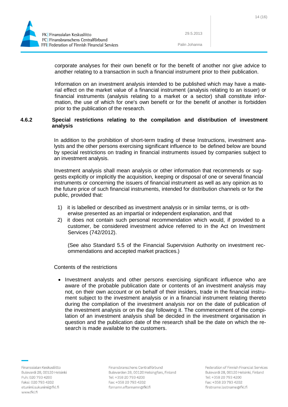

Palin Johanna

corporate analyses for their own benefit or for the benefit of another nor give advice to another relating to a transaction in such a financial instrument prior to their publication.

Information on an investment analysis intended to be published which may have a material effect on the market value of a financial instrument (analysis relating to an issuer) or financial instruments (analysis relating to a market or a sector) shall constitute information, the use of which for one's own benefit or for the benefit of another is forbidden prior to the publication of the research.

## <span id="page-14-0"></span>**4.6.2 Special restrictions relating to the compilation and distribution of investment analysis**

In addition to the prohibition of short-term trading of these Instructions, investment analysts and the other persons exercising significant influence to be defined below are bound by special restrictions on trading in financial instruments issued by companies subject to an investment analysis.

Investment analysis shall mean analysis or other information that recommends or suggests explicitly or implicitly the acquisition, keeping or disposal of one or several financial instruments or concerning the issuers of financial instrument as well as any opinion as to the future price of such financial instruments, intended for distribution channels or for the public, provided that:

- 1) it is labelled or described as investment analysis or in similar terms, or is otherwise presented as an impartial or independent explanation, and that
- 2) it does not contain such personal recommendation which would, if provided to a customer, be considered investment advice referred to in the Act on Investment Services (742/2012).

(See also Standard 5.5 of the Financial Supervision Authority on investment recommendations and accepted market practices.)

Contents of the restrictions

• Investment analysts and other persons exercising significant influence who are aware of the probable publication date or contents of an investment analysis may not, on their own account or on behalf of their insiders, trade in the financial instrument subject to the investment analysis or in a financial instrument relating thereto during the compilation of the investment analysis nor on the date of publication of the investment analysis or on the day following it. The commencement of the compilation of an investment analysis shall be decided in the investment organisation in question and the publication date of the research shall be the date on which the research is made available to the customers.

Finanssialan Keskusliitto Bulevardi 28, 00120 Helsinki Puh: 020 793 4200 Faksi: 020 793 4202 etunimi.sukunimi@fkl.fi www.fkl.fi

Finansbranschens Centralförbund Bulevarden 28, 00120 Helsingfors, Finland Tel: +358 20 793 4200 Fax: +358 20 793 4202 fornamn.efternamn@fkl.fi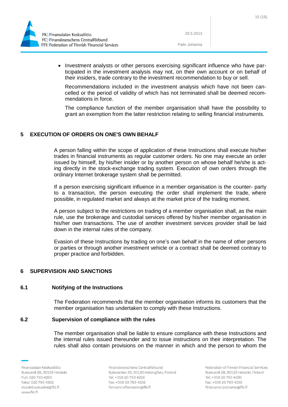



Palin Johanna

• Investment analysts or other persons exercising significant influence who have participated in the investment analysis may not, on their own account or on behalf of their insiders, trade contrary to the investment recommendation to buy or sell.

Recommendations included in the investment analysis which have not been cancelled or the period of validity of which has not terminated shall be deemed recommendations in force.

The compliance function of the member organisation shall have the possibility to grant an exemption from the latter restriction relating to selling financial instruments.

# <span id="page-15-0"></span>**5 EXECUTION OF ORDERS ON ONE'S OWN BEHALF**

A person falling within the scope of application of these Instructions shall execute his/her trades in financial instruments as regular customer orders. No one may execute an order issued by himself, by his/her insider or by another person on whose behalf he/she is acting directly in the stock-exchange trading system. Execution of own orders through the ordinary Internet brokerage system shall be permitted.

If a person exercising significant influence in a member organisation is the counter- party to a transaction, the person executing the order shall implement the trade, where possible, in regulated market and always at the market price of the trading moment.

A person subject to the restrictions on trading of a member organisation shall, as the main rule, use the brokerage and custodial services offered by his/her member organisation in his/her own transactions. The use of another investment services provider shall be laid down in the internal rules of the company.

Evasion of these Instructions by trading on one's own behalf in the name of other persons or parties or through another investment vehicle or a contract shall be deemed contrary to proper practice and forbidden.

# <span id="page-15-1"></span>**6 SUPERVISION AND SANCTIONS**

# <span id="page-15-2"></span>**6.1 Notifying of the Instructions**

The Federation recommends that the member organisation informs its customers that the member organisation has undertaken to comply with these Instructions.

# <span id="page-15-3"></span>**6.2 Supervision of compliance with the rules**

The member organisation shall be liable to ensure compliance with these Instructions and the internal rules issued thereunder and to issue instructions on their interpretation. The rules shall also contain provisions on the manner in which and the person to whom the

Finanssialan Keskusliitto Bulevardi 28, 00120 Helsinki Puh: 020 793 4200 Faksi: 020 793 4202 etunimi.sukunimi@fkl.fi www.fkl.fi

Finansbranschens Centralförbund Bulevarden 28, 00120 Helsingfors, Finland Tel: +358 20 793 4200 Fax: +358 20 793 4202 fornamn.efternamn@fkl.fi